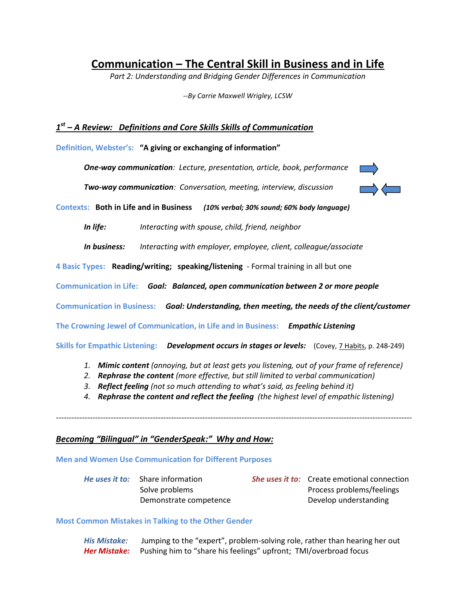# **Communication – The Central Skill in Business and in Life**

*Part 2: Understanding and Bridging Gender Differences in Communication*

*--By Carrie Maxwell Wrigley, LCSW*

## *1 st – A Review: Definitions and Core Skills Skills of Communication*

**Definition, Webster's: "A giving or exchanging of information"**

*One-way communication: Lecture, presentation, article, book, performance*

*Two-way communication: Conversation, meeting, interview, discussion*



**Contexts: Both in Life and in Business** *(10% verbal; 30% sound; 60% body language)*

*In life: Interacting with spouse, child, friend, neighbor*

*In business: Interacting with employer, employee, client, colleague/associate*

**4 Basic Types: Reading/writing; speaking/listening** - Formal training in all but one

**Communication in Life:** *Goal: Balanced, open communication between 2 or more people* 

**Communication in Business:** *Goal: Understanding, then meeting, the needs of the client/customer* 

**The Crowning Jewel of Communication, in Life and in Business:** *Empathic Listening*

**Skills for Empathic Listening:** *Development occurs in stages or levels:* (Covey, 7 Habits, p. 248-249)

- *1. Mimic content (annoying, but at least gets you listening, out of your frame of reference)*
- *2. Rephrase the content (more effective, but still limited to verbal communication)*
- *3. Reflect feeling (not so much attending to what's said, as feeling behind it)*
- *4. Rephrase the content and reflect the feeling (the highest level of empathic listening)*

*----------------------------------------------------------------------------------------------------------------------------------------*

### *Becoming "Bilingual" in "GenderSpeak:" Why and How:*

**Men and Women Use Communication for Different Purposes**

| <i>He uses it to:</i> Share information | <b>She uses it to:</b> Create emotional connection |
|-----------------------------------------|----------------------------------------------------|
| Solve problems                          | Process problems/feelings                          |
| Demonstrate competence                  | Develop understanding                              |

#### **Most Common Mistakes in Talking to the Other Gender**

*His Mistake:* Jumping to the "expert", problem-solving role, rather than hearing her out *Her Mistake:* Pushing him to "share his feelings" upfront; TMI/overbroad focus